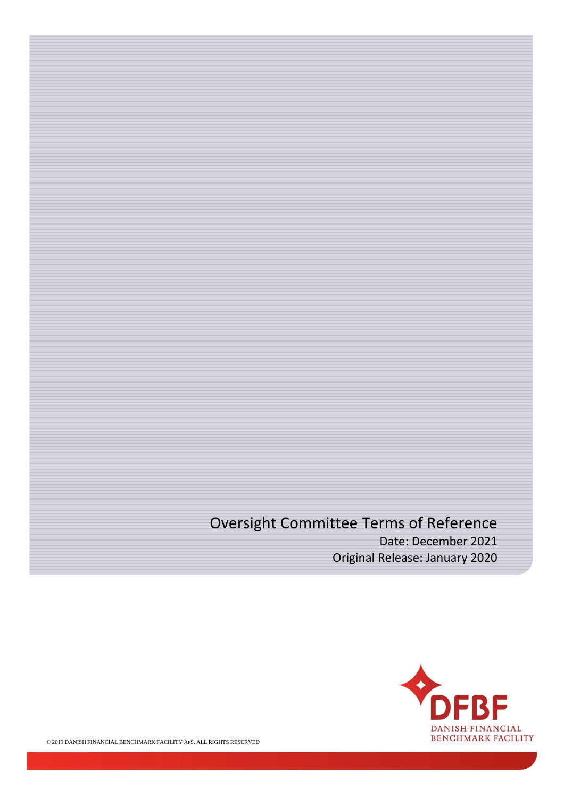# Oversight Committee Terms of Reference

Date: December 2021 Original Release: January 2020

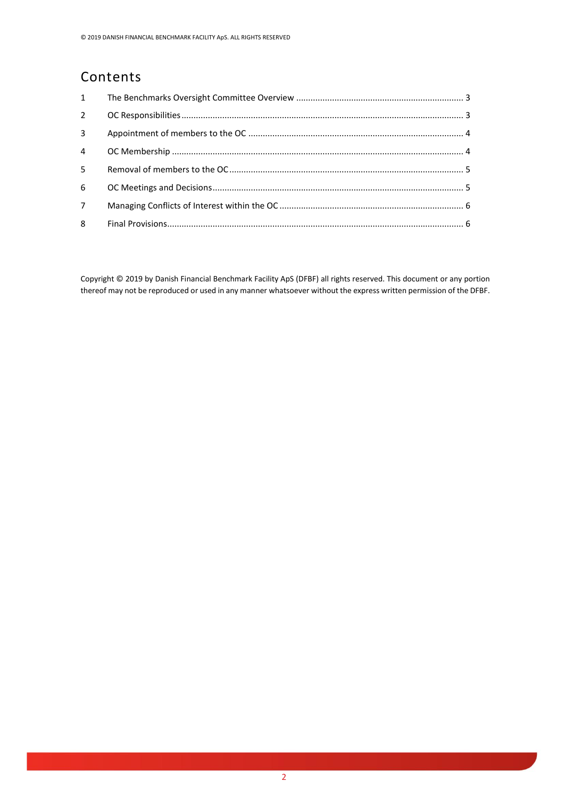#### Contents

| $1 \quad$   |  |
|-------------|--|
| 2           |  |
| 3           |  |
| 4           |  |
| 5           |  |
| 6           |  |
| $7^{\circ}$ |  |
| 8           |  |

Copyright © 2019 by Danish Financial Benchmark Facility ApS (DFBF) all rights reserved. This document or any portion thereof may not be reproduced or used in any manner whatsoever without the express written permission of the DFBF.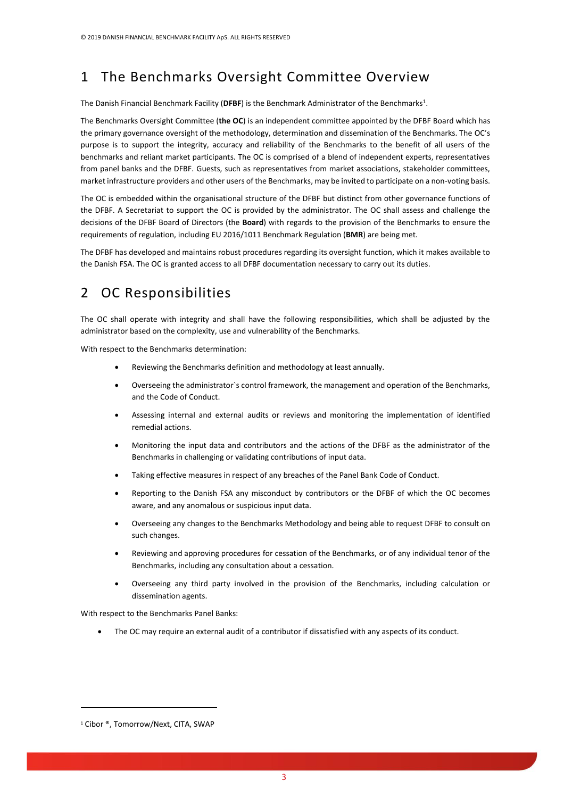## <span id="page-2-0"></span>1 The Benchmarks Oversight Committee Overview

The Danish Financial Benchmark Facility (**DFBF**) is the Benchmark Administrator of the Benchmarks<sup>1</sup>.

The Benchmarks Oversight Committee (**the OC**) is an independent committee appointed by the DFBF Board which has the primary governance oversight of the methodology, determination and dissemination of the Benchmarks. The OC's purpose is to support the integrity, accuracy and reliability of the Benchmarks to the benefit of all users of the benchmarks and reliant market participants. The OC is comprised of a blend of independent experts, representatives from panel banks and the DFBF. Guests, such as representatives from market associations, stakeholder committees, market infrastructure providers and other users of the Benchmarks, may be invited to participate on a non-voting basis.

The OC is embedded within the organisational structure of the DFBF but distinct from other governance functions of the DFBF. A Secretariat to support the OC is provided by the administrator. The OC shall assess and challenge the decisions of the DFBF Board of Directors (the **Board**) with regards to the provision of the Benchmarks to ensure the requirements of regulation, including EU 2016/1011 Benchmark Regulation (**BMR**) are being met.

The DFBF has developed and maintains robust procedures regarding its oversight function, which it makes available to the Danish FSA. The OC is granted access to all DFBF documentation necessary to carry out its duties.

#### <span id="page-2-1"></span>2 OC Responsibilities

The OC shall operate with integrity and shall have the following responsibilities, which shall be adjusted by the administrator based on the complexity, use and vulnerability of the Benchmarks.

With respect to the Benchmarks determination:

- Reviewing the Benchmarks definition and methodology at least annually.
- Overseeing the administrator`s control framework, the management and operation of the Benchmarks, and the Code of Conduct.
- Assessing internal and external audits or reviews and monitoring the implementation of identified remedial actions.
- Monitoring the input data and contributors and the actions of the DFBF as the administrator of the Benchmarks in challenging or validating contributions of input data.
- Taking effective measures in respect of any breaches of the Panel Bank Code of Conduct.
- Reporting to the Danish FSA any misconduct by contributors or the DFBF of which the OC becomes aware, and any anomalous or suspicious input data.
- Overseeing any changes to the Benchmarks Methodology and being able to request DFBF to consult on such changes.
- Reviewing and approving procedures for cessation of the Benchmarks, or of any individual tenor of the Benchmarks, including any consultation about a cessation.
- Overseeing any third party involved in the provision of the Benchmarks, including calculation or dissemination agents.

With respect to the Benchmarks Panel Banks:

• The OC may require an external audit of a contributor if dissatisfied with any aspects of its conduct.

<sup>&</sup>lt;sup>1</sup> Cibor ®, Tomorrow/Next, CITA, SWAP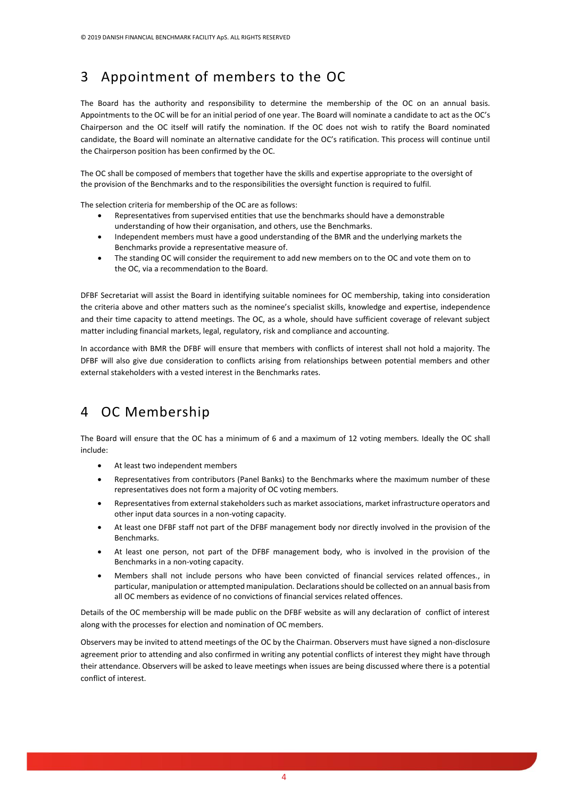#### <span id="page-3-0"></span>3 Appointment of members to the OC

The Board has the authority and responsibility to determine the membership of the OC on an annual basis. Appointments to the OC will be for an initial period of one year. The Board will nominate a candidate to act as the OC's Chairperson and the OC itself will ratify the nomination. If the OC does not wish to ratify the Board nominated candidate, the Board will nominate an alternative candidate for the OC's ratification. This process will continue until the Chairperson position has been confirmed by the OC.

The OC shall be composed of members that together have the skills and expertise appropriate to the oversight of the provision of the Benchmarks and to the responsibilities the oversight function is required to fulfil.

The selection criteria for membership of the OC are as follows:

- Representatives from supervised entities that use the benchmarks should have a demonstrable understanding of how their organisation, and others, use the Benchmarks.
- Independent members must have a good understanding of the BMR and the underlying markets the Benchmarks provide a representative measure of.
- The standing OC will consider the requirement to add new members on to the OC and vote them on to the OC, via a recommendation to the Board.

DFBF Secretariat will assist the Board in identifying suitable nominees for OC membership, taking into consideration the criteria above and other matters such as the nominee's specialist skills, knowledge and expertise, independence and their time capacity to attend meetings. The OC, as a whole, should have sufficient coverage of relevant subject matter including financial markets, legal, regulatory, risk and compliance and accounting.

In accordance with BMR the DFBF will ensure that members with conflicts of interest shall not hold a majority. The DFBF will also give due consideration to conflicts arising from relationships between potential members and other external stakeholders with a vested interest in the Benchmarks rates.

#### <span id="page-3-1"></span>4 OC Membership

The Board will ensure that the OC has a minimum of 6 and a maximum of 12 voting members. Ideally the OC shall include:

- At least two independent members
- Representatives from contributors (Panel Banks) to the Benchmarks where the maximum number of these representatives does not form a majority of OC voting members.
- Representatives from external stakeholders such as market associations, market infrastructure operators and other input data sources in a non-voting capacity.
- At least one DFBF staff not part of the DFBF management body nor directly involved in the provision of the Benchmarks.
- At least one person, not part of the DFBF management body, who is involved in the provision of the Benchmarks in a non-voting capacity.
- Members shall not include persons who have been convicted of financial services related offences., in particular, manipulation or attempted manipulation. Declarations should be collected on an annual basis from all OC members as evidence of no convictions of financial services related offences.

Details of the OC membership will be made public on the DFBF website as will any declaration of conflict of interest along with the processes for election and nomination of OC members.

Observers may be invited to attend meetings of the OC by the Chairman. Observers must have signed a non-disclosure agreement prior to attending and also confirmed in writing any potential conflicts of interest they might have through their attendance. Observers will be asked to leave meetings when issues are being discussed where there is a potential conflict of interest.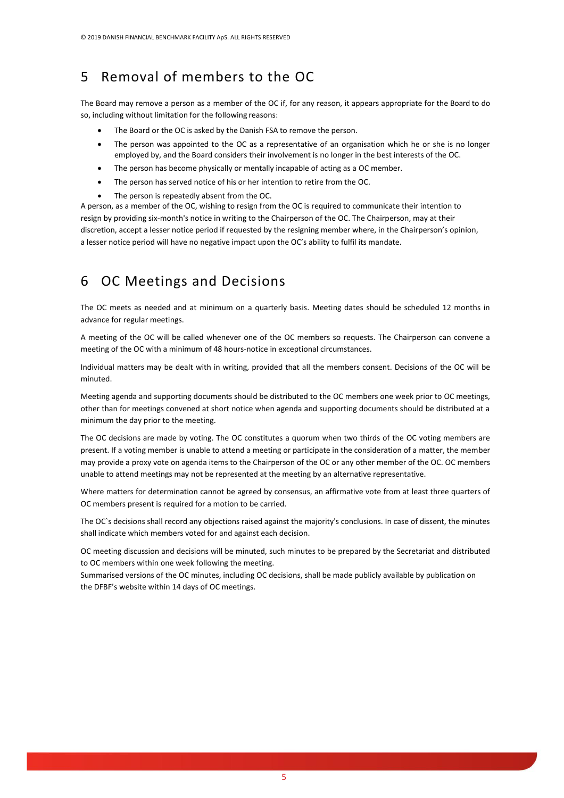## <span id="page-4-0"></span>5 Removal of members to the OC

The Board may remove a person as a member of the OC if, for any reason, it appears appropriate for the Board to do so, including without limitation for the following reasons:

- The Board or the OC is asked by the Danish FSA to remove the person.
- The person was appointed to the OC as a representative of an organisation which he or she is no longer employed by, and the Board considers their involvement is no longer in the best interests of the OC.
- The person has become physically or mentally incapable of acting as a OC member.
- The person has served notice of his or her intention to retire from the OC.
- The person is repeatedly absent from the OC.

A person, as a member of the OC, wishing to resign from the OC is required to communicate their intention to resign by providing six-month's notice in writing to the Chairperson of the OC. The Chairperson, may at their discretion, accept a lesser notice period if requested by the resigning member where, in the Chairperson's opinion, a lesser notice period will have no negative impact upon the OC's ability to fulfil its mandate.

### <span id="page-4-1"></span>6 OC Meetings and Decisions

The OC meets as needed and at minimum on a quarterly basis. Meeting dates should be scheduled 12 months in advance for regular meetings.

A meeting of the OC will be called whenever one of the OC members so requests. The Chairperson can convene a meeting of the OC with a minimum of 48 hours-notice in exceptional circumstances.

Individual matters may be dealt with in writing, provided that all the members consent. Decisions of the OC will be minuted.

Meeting agenda and supporting documents should be distributed to the OC members one week prior to OC meetings, other than for meetings convened at short notice when agenda and supporting documents should be distributed at a minimum the day prior to the meeting.

The OC decisions are made by voting. The OC constitutes a quorum when two thirds of the OC voting members are present. If a voting member is unable to attend a meeting or participate in the consideration of a matter, the member may provide a proxy vote on agenda items to the Chairperson of the OC or any other member of the OC. OC members unable to attend meetings may not be represented at the meeting by an alternative representative.

Where matters for determination cannot be agreed by consensus, an affirmative vote from at least three quarters of OC members present is required for a motion to be carried.

The OC`s decisions shall record any objections raised against the majority's conclusions. In case of dissent, the minutes shall indicate which members voted for and against each decision.

OC meeting discussion and decisions will be minuted, such minutes to be prepared by the Secretariat and distributed to OC members within one week following the meeting.

Summarised versions of the OC minutes, including OC decisions, shall be made publicly available by publication on the DFBF's website within 14 days of OC meetings.